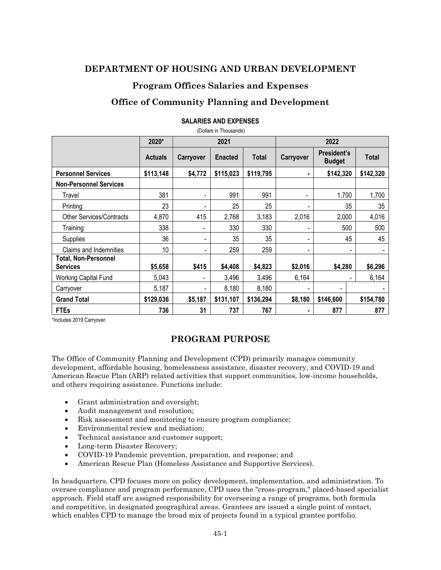## **DEPARTMENT OF HOUSING AND URBAN DEVELOPMENT**

## **Program Offices Salaries and Expenses**

# **Office of Community Planning and Development**

|                                         | 2020*          | 2021             |                |           | 2022      |                                     |              |
|-----------------------------------------|----------------|------------------|----------------|-----------|-----------|-------------------------------------|--------------|
|                                         | <b>Actuals</b> | <b>Carryover</b> | <b>Enacted</b> | Total     | Carryover | <b>President's</b><br><b>Budget</b> | <b>Total</b> |
| <b>Personnel Services</b>               | \$113,148      | \$4,772          | \$115,023      | \$119,795 |           | \$142,320                           | \$142,320    |
| <b>Non-Personnel Services</b>           |                |                  |                |           |           |                                     |              |
| Travel                                  | 381            | -                | 991            | 991       |           | 1,700                               | 1,700        |
| Printing                                | 23             |                  | 25             | 25        |           | 35                                  | 35           |
| <b>Other Services/Contracts</b>         | 4,870          | 415              | 2,768          | 3,183     | 2,016     | 2,000                               | 4,016        |
| Training                                | 338            |                  | 330            | 330       |           | 500                                 | 500          |
| Supplies                                | 36             |                  | 35             | 35        |           | 45                                  | 45           |
| Claims and Indemnities                  | 10             | -                | 259            | 259       |           | $\overline{\phantom{a}}$            |              |
| Total, Non-Personnel<br><b>Services</b> | \$5,658        | \$415            | \$4,408        | \$4,823   | \$2,016   | \$4,280                             | \$6,296      |
| Working Capital Fund                    | 5,043          |                  | 3,496          | 3,496     | 6,164     |                                     | 6,164        |
| Carryover                               | 5,187          |                  | 8,180          | 8,180     |           |                                     |              |
| <b>Grand Total</b>                      | \$129,036      | \$5,187          | \$131,107      | \$136,294 | \$8,180   | \$146,600                           | \$154,780    |
| <b>FTEs</b>                             | 736            | 31               | 737            | 767       |           | 877                                 | 877          |

#### **SALARIES AND EXPENSES**  (Dollars in Thousands)

\*Includes 2019 Carryover.

# **PROGRAM PURPOSE**

The Office of Community Planning and Development (CPD) primarily manages community development, affordable housing, homelessness assistance, disaster recovery, and COVID-19 and American Rescue Plan (ARP) related activities that support communities, low-income households, and others requiring assistance. Functions include:

- Grant administration and oversight;
- Audit management and resolution;
- Risk assessment and monitoring to ensure program compliance;
- Environmental review and mediation;
- Technical assistance and customer support;
- Long-term Disaster Recovery;
- COVID-19 Pandemic prevention, preparation, and response; and
- American Rescue Plan (Homeless Assistance and Supportive Services).

In headquarters, CPD focuses more on policy development, implementation, and administration. To oversee compliance and program performance, CPD uses the "cross-program," placed-based specialist approach. Field staff are assigned responsibility for overseeing a range of programs, both formula and competitive, in designated geographical areas. Grantees are issued a single point of contact, which enables CPD to manage the broad mix of projects found in a typical grantee portfolio.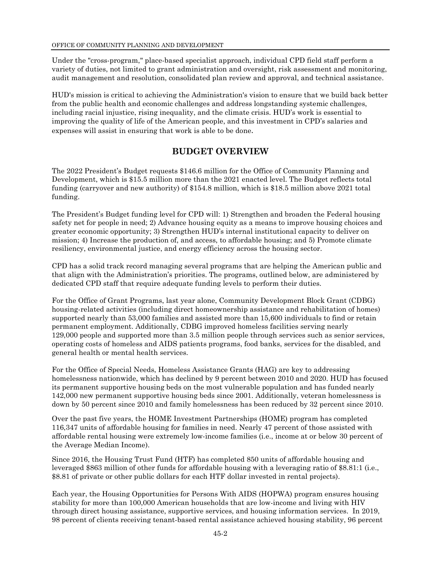Under the "cross-program," place-based specialist approach, individual CPD field staff perform a variety of duties, not limited to grant administration and oversight, risk assessment and monitoring, audit management and resolution, consolidated plan review and approval, and technical assistance.

HUD's mission is critical to achieving the Administration's vision to ensure that we build back better from the public health and economic challenges and address longstanding systemic challenges, including racial injustice, rising inequality, and the climate crisis. HUD's work is essential to improving the quality of life of the American people, and this investment in CPD's salaries and expenses will assist in ensuring that work is able to be done.

## **BUDGET OVERVIEW**

The 2022 President's Budget requests \$146.6 million for the Office of Community Planning and Development, which is \$15.5 million more than the 2021 enacted level. The Budget reflects total funding (carryover and new authority) of \$154.8 million, which is \$18.5 million above 2021 total funding.

The President's Budget funding level for CPD will: 1) Strengthen and broaden the Federal housing safety net for people in need; 2) Advance housing equity as a means to improve housing choices and greater economic opportunity; 3) Strengthen HUD's internal institutional capacity to deliver on mission; 4) Increase the production of, and access, to affordable housing; and 5) Promote climate resiliency, environmental justice, and energy efficiency across the housing sector.

CPD has a solid track record managing several programs that are helping the American public and that align with the Administration's priorities. The programs, outlined below, are administered by dedicated CPD staff that require adequate funding levels to perform their duties.

For the Office of Grant Programs, last year alone, Community Development Block Grant (CDBG) housing-related activities (including direct homeownership assistance and rehabilitation of homes) supported nearly than 53,000 families and assisted more than 15,600 individuals to find or retain permanent employment. Additionally, CDBG improved homeless facilities serving nearly 129,000 people and supported more than 3.5 million people through services such as senior services, operating costs of homeless and AIDS patients programs, food banks, services for the disabled, and general health or mental health services.

For the Office of Special Needs, Homeless Assistance Grants (HAG) are key to addressing homelessness nationwide, which has declined by 9 percent between 2010 and 2020. HUD has focused its permanent supportive housing beds on the most vulnerable population and has funded nearly 142,000 new permanent supportive housing beds since 2001. Additionally, veteran homelessness is down by 50 percent since 2010 and family homelessness has been reduced by 32 percent since 2010.

Over the past five years, the HOME Investment Partnerships (HOME) program has completed 116,347 units of affordable housing for families in need. Nearly 47 percent of those assisted with affordable rental housing were extremely low-income families (i.e., income at or below 30 percent of the Average Median Income).

Since 2016, the Housing Trust Fund (HTF) has completed 850 units of affordable housing and leveraged \$863 million of other funds for affordable housing with a leveraging ratio of \$8.81:1 (i.e., \$8.81 of private or other public dollars for each HTF dollar invested in rental projects).

Each year, the Housing Opportunities for Persons With AIDS (HOPWA) program ensures housing stability for more than 100,000 American households that are low-income and living with HIV through direct housing assistance, supportive services, and housing information services. In 2019, 98 percent of clients receiving tenant-based rental assistance achieved housing stability, 96 percent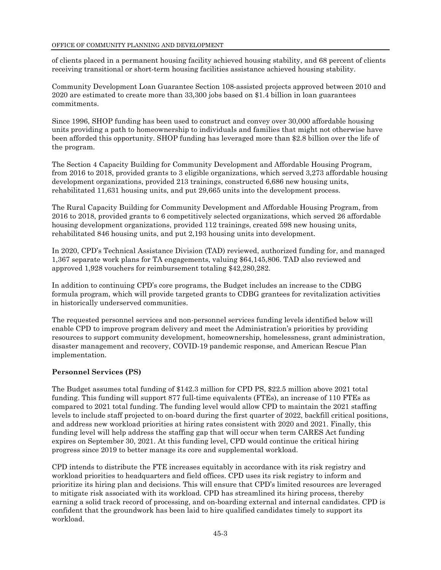#### OFFICE OF COMMUNITY PLANNING AND DEVELOPMENT

of clients placed in a permanent housing facility achieved housing stability, and 68 percent of clients receiving transitional or short-term housing facilities assistance achieved housing stability.

Community Development Loan Guarantee Section 108-assisted projects approved between 2010 and 2020 are estimated to create more than 33,300 jobs based on \$1.4 billion in loan guarantees commitments.

Since 1996, SHOP funding has been used to construct and convey over 30,000 affordable housing units providing a path to homeownership to individuals and families that might not otherwise have been afforded this opportunity. SHOP funding has leveraged more than \$2.8 billion over the life of the program.

The Section 4 Capacity Building for Community Development and Affordable Housing Program, from 2016 to 2018, provided grants to 3 eligible organizations, which served 3,273 affordable housing development organizations, provided 213 trainings, constructed 6,686 new housing units, rehabilitated 11,631 housing units, and put 29,665 units into the development process.

The Rural Capacity Building for Community Development and Affordable Housing Program, from 2016 to 2018, provided grants to 6 competitively selected organizations, which served 26 affordable housing development organizations, provided 112 trainings, created 598 new housing units, rehabilitated 846 housing units, and put 2,193 housing units into development.

In 2020, CPD's Technical Assistance Division (TAD) reviewed, authorized funding for, and managed 1,367 separate work plans for TA engagements, valuing \$64,145,806. TAD also reviewed and approved 1,928 vouchers for reimbursement totaling \$42,280,282.

In addition to continuing CPD's core programs, the Budget includes an increase to the CDBG formula program, which will provide targeted grants to CDBG grantees for revitalization activities in historically underserved communities.

The requested personnel services and non-personnel services funding levels identified below will enable CPD to improve program delivery and meet the Administration's priorities by providing resources to support community development, homeownership, homelessness, grant administration, disaster management and recovery, COVID-19 pandemic response, and American Rescue Plan implementation.

### **Personnel Services (PS)**

The Budget assumes total funding of \$142.3 million for CPD PS, \$22.5 million above 2021 total funding. This funding will support 877 full-time equivalents (FTEs), an increase of 110 FTEs as compared to 2021 total funding. The funding level would allow CPD to maintain the 2021 staffing levels to include staff projected to on-board during the first quarter of 2022, backfill critical positions, and address new workload priorities at hiring rates consistent with 2020 and 2021. Finally, this funding level will help address the staffing gap that will occur when term CARES Act funding expires on September 30, 2021. At this funding level, CPD would continue the critical hiring progress since 2019 to better manage its core and supplemental workload.

CPD intends to distribute the FTE increases equitably in accordance with its risk registry and workload priorities to headquarters and field offices. CPD uses its risk registry to inform and prioritize its hiring plan and decisions. This will ensure that CPD's limited resources are leveraged to mitigate risk associated with its workload. CPD has streamlined its hiring process, thereby earning a solid track record of processing, and on-boarding external and internal candidates. CPD is confident that the groundwork has been laid to hire qualified candidates timely to support its workload.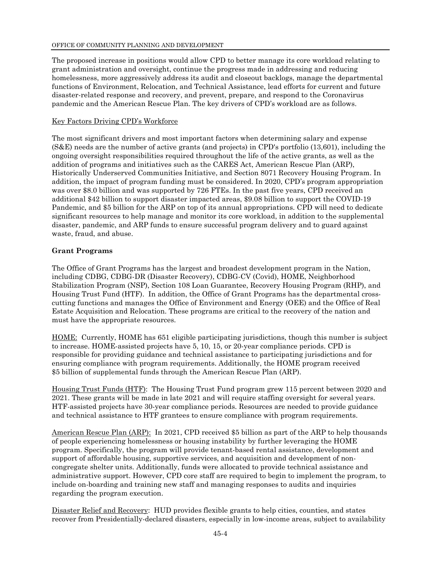The proposed increase in positions would allow CPD to better manage its core workload relating to grant administration and oversight, continue the progress made in addressing and reducing homelessness, more aggressively address its audit and closeout backlogs, manage the departmental functions of Environment, Relocation, and Technical Assistance, lead efforts for current and future disaster-related response and recovery, and prevent, prepare, and respond to the Coronavirus pandemic and the American Rescue Plan. The key drivers of CPD's workload are as follows.

#### Key Factors Driving CPD's Workforce

The most significant drivers and most important factors when determining salary and expense (S&E) needs are the number of active grants (and projects) in CPD's portfolio (13,601), including the ongoing oversight responsibilities required throughout the life of the active grants, as well as the addition of programs and initiatives such as the CARES Act, American Rescue Plan (ARP), Historically Underserved Communities Initiative, and Section 8071 Recovery Housing Program. In addition, the impact of program funding must be considered. In 2020, CPD's program appropriation was over \$8.0 billion and was supported by 726 FTEs. In the past five years, CPD received an additional \$42 billion to support disaster impacted areas, \$9.08 billion to support the COVID-19 Pandemic, and \$5 billion for the ARP on top of its annual appropriations. CPD will need to dedicate significant resources to help manage and monitor its core workload, in addition to the supplemental disaster, pandemic, and ARP funds to ensure successful program delivery and to guard against waste, fraud, and abuse.

#### **Grant Programs**

The Office of Grant Programs has the largest and broadest development program in the Nation, including CDBG, CDBG-DR (Disaster Recovery), CDBG-CV (Covid), HOME, Neighborhood Stabilization Program (NSP), Section 108 Loan Guarantee, Recovery Housing Program (RHP), and Housing Trust Fund (HTF). In addition, the Office of Grant Programs has the departmental crosscutting functions and manages the Office of Environment and Energy (OEE) and the Office of Real Estate Acquisition and Relocation. These programs are critical to the recovery of the nation and must have the appropriate resources.

HOME: Currently, HOME has 651 eligible participating jurisdictions, though this number is subject to increase. HOME-assisted projects have 5, 10, 15, or 20-year compliance periods. CPD is responsible for providing guidance and technical assistance to participating jurisdictions and for ensuring compliance with program requirements. Additionally, the HOME program received \$5 billion of supplemental funds through the American Rescue Plan (ARP).

Housing Trust Funds (HTF): The Housing Trust Fund program grew 115 percent between 2020 and 2021. These grants will be made in late 2021 and will require staffing oversight for several years. HTF-assisted projects have 30-year compliance periods. Resources are needed to provide guidance and technical assistance to HTF grantees to ensure compliance with program requirements.

American Rescue Plan (ARP): In 2021, CPD received \$5 billion as part of the ARP to help thousands of people experiencing homelessness or housing instability by further leveraging the HOME program. Specifically, the program will provide tenant-based rental assistance, development and support of affordable housing, supportive services, and acquisition and development of noncongregate shelter units. Additionally, funds were allocated to provide technical assistance and administrative support. However, CPD core staff are required to begin to implement the program, to include on-boarding and training new staff and managing responses to audits and inquiries regarding the program execution.

Disaster Relief and Recovery: HUD provides flexible grants to help cities, counties, and states recover from Presidentially-declared disasters, especially in low-income areas, subject to availability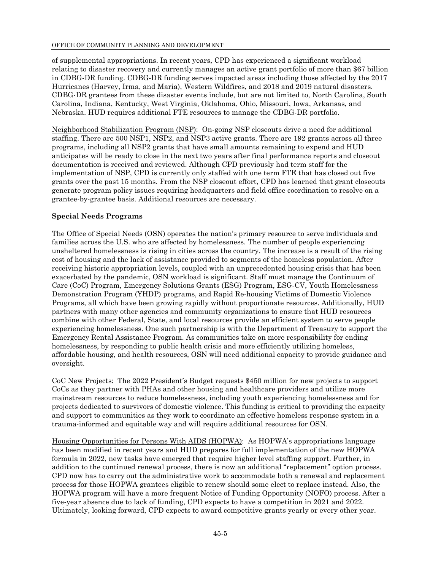of supplemental appropriations. In recent years, CPD has experienced a significant workload relating to disaster recovery and currently manages an active grant portfolio of more than \$67 billion in CDBG-DR funding. CDBG-DR funding serves impacted areas including those affected by the 2017 Hurricanes (Harvey, Irma, and Maria), Western Wildfires, and 2018 and 2019 natural disasters. CDBG-DR grantees from these disaster events include, but are not limited to, North Carolina, South Carolina, Indiana, Kentucky, West Virginia, Oklahoma, Ohio, Missouri, Iowa, Arkansas, and Nebraska. HUD requires additional FTE resources to manage the CDBG-DR portfolio.

Neighborhood Stabilization Program (NSP): On-going NSP closeouts drive a need for additional staffing. There are 500 NSP1, NSP2, and NSP3 active grants. There are 192 grants across all three programs, including all NSP2 grants that have small amounts remaining to expend and HUD anticipates will be ready to close in the next two years after final performance reports and closeout documentation is received and reviewed. Although CPD previously had term staff for the implementation of NSP, CPD is currently only staffed with one term FTE that has closed out five grants over the past 15 months. From the NSP closeout effort, CPD has learned that grant closeouts generate program policy issues requiring headquarters and field office coordination to resolve on a grantee-by-grantee basis. Additional resources are necessary.

### **Special Needs Programs**

The Office of Special Needs (OSN) operates the nation's primary resource to serve individuals and families across the U.S. who are affected by homelessness. The number of people experiencing unsheltered homelessness is rising in cities across the country. The increase is a result of the rising cost of housing and the lack of assistance provided to segments of the homeless population. After receiving historic appropriation levels, coupled with an unprecedented housing crisis that has been exacerbated by the pandemic, OSN workload is significant. Staff must manage the Continuum of Care (CoC) Program, Emergency Solutions Grants (ESG) Program, ESG-CV, Youth Homelessness Demonstration Program (YHDP) programs, and Rapid Re-housing Victims of Domestic Violence Programs, all which have been growing rapidly without proportionate resources. Additionally, HUD partners with many other agencies and community organizations to ensure that HUD resources combine with other Federal, State, and local resources provide an efficient system to serve people experiencing homelessness. One such partnership is with the Department of Treasury to support the Emergency Rental Assistance Program. As communities take on more responsibility for ending homelessness, by responding to public health crisis and more efficiently utilizing homeless, affordable housing, and health resources, OSN will need additional capacity to provide guidance and oversight.

CoC New Projects: The 2022 President's Budget requests \$450 million for new projects to support CoCs as they partner with PHAs and other housing and healthcare providers and utilize more mainstream resources to reduce homelessness, including youth experiencing homelessness and for projects dedicated to survivors of domestic violence. This funding is critical to providing the capacity and support to communities as they work to coordinate an effective homeless response system in a trauma-informed and equitable way and will require additional resources for OSN.

Housing Opportunities for Persons With AIDS (HOPWA): As HOPWA's appropriations language has been modified in recent years and HUD prepares for full implementation of the new HOPWA formula in 2022, new tasks have emerged that require higher level staffing support. Further, in addition to the continued renewal process, there is now an additional "replacement" option process. CPD now has to carry out the administrative work to accommodate both a renewal and replacement process for those HOPWA grantees eligible to renew should some elect to replace instead. Also, the HOPWA program will have a more frequent Notice of Funding Opportunity (NOFO) process. After a five-year absence due to lack of funding, CPD expects to have a competition in 2021 and 2022. Ultimately, looking forward, CPD expects to award competitive grants yearly or every other year.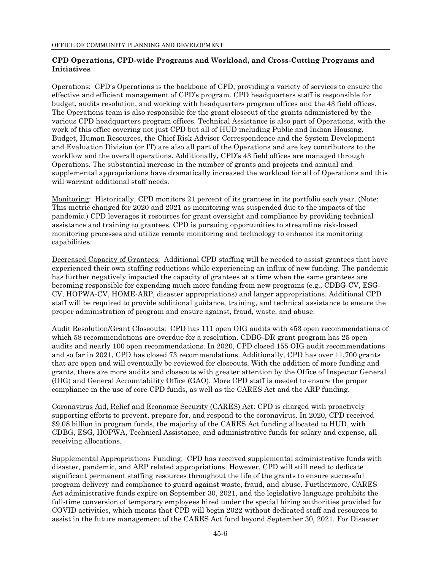### **CPD Operations, CPD-wide Programs and Workload, and Cross-Cutting Programs and Initiatives**

Operations: CPD's Operations is the backbone of CPD, providing a variety of services to ensure the effective and efficient management of CPD's program. CPD headquarters staff is responsible for budget, audits resolution, and working with headquarters program offices and the 43 field offices. The Operations team is also responsible for the grant closeout of the grants administered by the various CPD headquarters program offices. Technical Assistance is also part of Operations, with the work of this office covering not just CPD but all of HUD including Public and Indian Housing. Budget, Human Resources, the Chief Risk Advisor Correspondence and the System Development and Evaluation Division (or IT) are also all part of the Operations and are key contributors to the workflow and the overall operations. Additionally, CPD's 43 field offices are managed through Operations. The substantial increase in the number of grants and projects and annual and supplemental appropriations have dramatically increased the workload for all of Operations and this will warrant additional staff needs.

Monitoring: Historically, CPD monitors 21 percent of its grantees in its portfolio each year. (Note: This metric changed for 2020 and 2021 as monitoring was suspended due to the impacts of the pandemic.) CPD leverages it resources for grant oversight and compliance by providing technical assistance and training to grantees. CPD is pursuing opportunities to streamline risk-based monitoring processes and utilize remote monitoring and technology to enhance its monitoring capabilities.

Decreased Capacity of Grantees: Additional CPD staffing will be needed to assist grantees that have experienced their own staffing reductions while experiencing an influx of new funding. The pandemic has further negatively impacted the capacity of grantees at a time when the same grantees are becoming responsible for expending much more funding from new programs (e.g., CDBG-CV, ESG-CV, HOPWA-CV, HOME-ARP, disaster appropriations) and larger appropriations. Additional CPD staff will be required to provide additional guidance, training, and technical assistance to ensure the proper administration of program and ensure against, fraud, waste, and abuse.

Audit Resolution/Grant Closeouts: CPD has 111 open OIG audits with 453 open recommendations of which 58 recommendations are overdue for a resolution. CDBG-DR grant program has 25 open audits and nearly 100 open recommendations. In 2020, CPD closed 155 OIG audit recommendations and so far in 2021, CPD has closed 73 recommendations. Additionally, CPD has over 11,700 grants that are open and will eventually be reviewed for closeouts. With the addition of more funding and grants, there are more audits and closeouts with greater attention by the Office of Inspector General (OIG) and General Accountability Office (GAO). More CPD staff is needed to ensure the proper compliance in the use of core CPD funds, as well as the CARES Act and the ARP funding.

Coronavirus Aid, Relief and Economic Security (CARES) Act: CPD is charged with proactively supporting efforts to prevent, prepare for, and respond to the coronavirus. In 2020, CPD received \$9.08 billion in program funds, the majority of the CARES Act funding allocated to HUD, with CDBG, ESG, HOPWA, Technical Assistance, and administrative funds for salary and expense, all receiving allocations.

Supplemental Appropriations Funding: CPD has received supplemental administrative funds with disaster, pandemic, and ARP related appropriations. However, CPD will still need to dedicate significant permanent staffing resources throughout the life of the grants to ensure successful program delivery and compliance to guard against waste, fraud, and abuse. Furthermore, CARES Act administrative funds expire on September 30, 2021, and the legislative language prohibits the full-time conversion of temporary employees hired under the special hiring authorities provided for COVID activities, which means that CPD will begin 2022 without dedicated staff and resources to assist in the future management of the CARES Act fund beyond September 30, 2021. For Disaster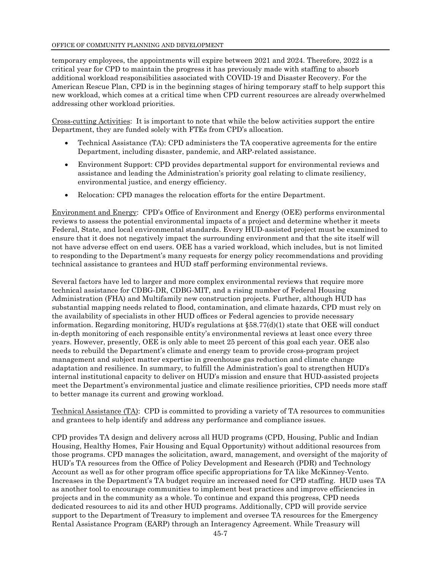temporary employees, the appointments will expire between 2021 and 2024. Therefore, 2022 is a critical year for CPD to maintain the progress it has previously made with staffing to absorb additional workload responsibilities associated with COVID-19 and Disaster Recovery. For the American Rescue Plan, CPD is in the beginning stages of hiring temporary staff to help support this new workload, which comes at a critical time when CPD current resources are already overwhelmed addressing other workload priorities.

Cross-cutting Activities: It is important to note that while the below activities support the entire Department, they are funded solely with FTEs from CPD's allocation.

- Technical Assistance (TA): CPD administers the TA cooperative agreements for the entire Department, including disaster, pandemic, and ARP-related assistance.
- Environment Support: CPD provides departmental support for environmental reviews and assistance and leading the Administration's priority goal relating to climate resiliency, environmental justice, and energy efficiency.
- Relocation: CPD manages the relocation efforts for the entire Department.

Environment and Energy: CPD's Office of Environment and Energy (OEE) performs environmental reviews to assess the potential environmental impacts of a project and determine whether it meets Federal, State, and local environmental standards. Every HUD-assisted project must be examined to ensure that it does not negatively impact the surrounding environment and that the site itself will not have adverse effect on end users. OEE has a varied workload, which includes, but is not limited to responding to the Department's many requests for energy policy recommendations and providing technical assistance to grantees and HUD staff performing environmental reviews.

Several factors have led to larger and more complex environmental reviews that require more technical assistance for CDBG-DR, CDBG-MIT, and a rising number of Federal Housing Administration (FHA) and Multifamily new construction projects. Further, although HUD has substantial mapping needs related to flood, contamination, and climate hazards, CPD must rely on the availability of specialists in other HUD offices or Federal agencies to provide necessary information. Regarding monitoring, HUD's regulations at §58.77(d)(1) state that OEE will conduct in-depth monitoring of each responsible entity's environmental reviews at least once every three years. However, presently, OEE is only able to meet 25 percent of this goal each year. OEE also needs to rebuild the Department's climate and energy team to provide cross-program project management and subject matter expertise in greenhouse gas reduction and climate change adaptation and resilience. In summary, to fulfill the Administration's goal to strengthen HUD's internal institutional capacity to deliver on HUD's mission and ensure that HUD-assisted projects meet the Department's environmental justice and climate resilience priorities, CPD needs more staff to better manage its current and growing workload.

Technical Assistance (TA): CPD is committed to providing a variety of TA resources to communities and grantees to help identify and address any performance and compliance issues.

CPD provides TA design and delivery across all HUD programs (CPD, Housing, Public and Indian Housing, Healthy Homes, Fair Housing and Equal Opportunity) without additional resources from those programs. CPD manages the solicitation, award, management, and oversight of the majority of HUD's TA resources from the Office of Policy Development and Research (PDR) and Technology Account as well as for other program office specific appropriations for TA like McKinney-Vento. Increases in the Department's TA budget require an increased need for CPD staffing. HUD uses TA as another tool to encourage communities to implement best practices and improve efficiencies in projects and in the community as a whole. To continue and expand this progress, CPD needs dedicated resources to aid its and other HUD programs. Additionally, CPD will provide service support to the Department of Treasury to implement and oversee TA resources for the Emergency Rental Assistance Program (EARP) through an Interagency Agreement. While Treasury will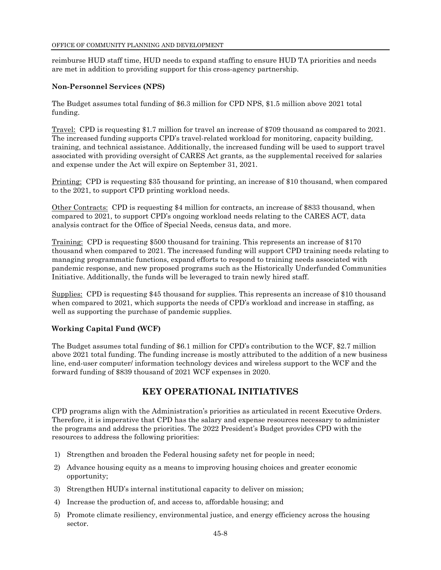reimburse HUD staff time, HUD needs to expand staffing to ensure HUD TA priorities and needs are met in addition to providing support for this cross-agency partnership.

### **Non-Personnel Services (NPS)**

The Budget assumes total funding of \$6.3 million for CPD NPS, \$1.5 million above 2021 total funding.

Travel: CPD is requesting \$1.7 million for travel an increase of \$709 thousand as compared to 2021. The increased funding supports CPD's travel-related workload for monitoring, capacity building, training, and technical assistance. Additionally, the increased funding will be used to support travel associated with providing oversight of CARES Act grants, as the supplemental received for salaries and expense under the Act will expire on September 31, 2021.

Printing: CPD is requesting \$35 thousand for printing, an increase of \$10 thousand, when compared to the 2021, to support CPD printing workload needs.

Other Contracts: CPD is requesting \$4 million for contracts, an increase of \$833 thousand, when compared to 2021, to support CPD's ongoing workload needs relating to the CARES ACT, data analysis contract for the Office of Special Needs, census data, and more.

Training: CPD is requesting \$500 thousand for training. This represents an increase of \$170 thousand when compared to 2021. The increased funding will support CPD training needs relating to managing programmatic functions, expand efforts to respond to training needs associated with pandemic response, and new proposed programs such as the Historically Underfunded Communities Initiative. Additionally, the funds will be leveraged to train newly hired staff.

Supplies: CPD is requesting \$45 thousand for supplies. This represents an increase of \$10 thousand when compared to 2021, which supports the needs of CPD's workload and increase in staffing, as well as supporting the purchase of pandemic supplies.

## **Working Capital Fund (WCF)**

The Budget assumes total funding of \$6.1 million for CPD's contribution to the WCF, \$2.7 million above 2021 total funding. The funding increase is mostly attributed to the addition of a new business line, end-user computer/ information technology devices and wireless support to the WCF and the forward funding of \$839 thousand of 2021 WCF expenses in 2020.

## **KEY OPERATIONAL INITIATIVES**

CPD programs align with the Administration's priorities as articulated in recent Executive Orders. Therefore, it is imperative that CPD has the salary and expense resources necessary to administer the programs and address the priorities. The 2022 President's Budget provides CPD with the resources to address the following priorities:

- 1) Strengthen and broaden the Federal housing safety net for people in need;
- 2) Advance housing equity as a means to improving housing choices and greater economic opportunity;
- 3) Strengthen HUD's internal institutional capacity to deliver on mission;
- 4) Increase the production of, and access to, affordable housing; and
- 5) Promote climate resiliency, environmental justice, and energy efficiency across the housing sector.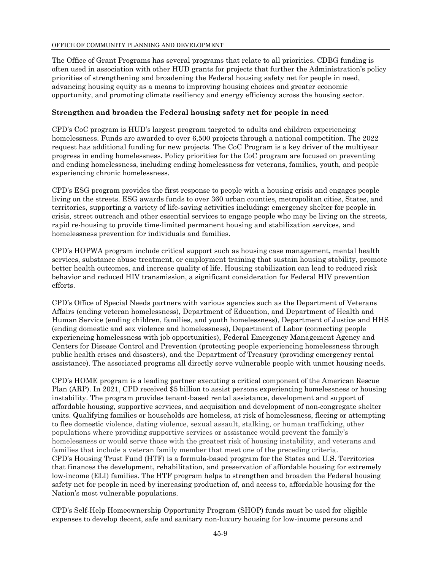The Office of Grant Programs has several programs that relate to all priorities. CDBG funding is often used in association with other HUD grants for projects that further the Administration's policy priorities of strengthening and broadening the Federal housing safety net for people in need, advancing housing equity as a means to improving housing choices and greater economic opportunity, and promoting climate resiliency and energy efficiency across the housing sector.

### **Strengthen and broaden the Federal housing safety net for people in need**

CPD's CoC program is HUD's largest program targeted to adults and children experiencing homelessness. Funds are awarded to over 6,500 projects through a national competition. The 2022 request has additional funding for new projects. The CoC Program is a key driver of the multiyear progress in ending homelessness. Policy priorities for the CoC program are focused on preventing and ending homelessness, including ending homelessness for veterans, families, youth, and people experiencing chronic homelessness.

CPD's ESG program provides the first response to people with a housing crisis and engages people living on the streets. ESG awards funds to over 360 urban counties, metropolitan cities, States, and territories, supporting a variety of life-saving activities including: emergency shelter for people in crisis, street outreach and other essential services to engage people who may be living on the streets, rapid re-housing to provide time-limited permanent housing and stabilization services, and homelessness prevention for individuals and families.

CPD's HOPWA program include critical support such as housing case management, mental health services, substance abuse treatment, or employment training that sustain housing stability, promote better health outcomes, and increase quality of life. Housing stabilization can lead to reduced risk behavior and reduced HIV transmission, a significant consideration for Federal HIV prevention efforts.

CPD's Office of Special Needs partners with various agencies such as the Department of Veterans Affairs (ending veteran homelessness), Department of Education, and Department of Health and Human Service (ending children, families, and youth homelessness), Department of Justice and HHS (ending domestic and sex violence and homelessness), Department of Labor (connecting people experiencing homelessness with job opportunities), Federal Emergency Management Agency and Centers for Disease Control and Prevention (protecting people experiencing homelessness through public health crises and disasters), and the Department of Treasury (providing emergency rental assistance). The associated programs all directly serve vulnerable people with unmet housing needs.

CPD's HOME program is a leading partner executing a critical component of the American Rescue Plan (ARP). In 2021, CPD received \$5 billion to assist persons experiencing homelessness or housing instability. The program provides tenant-based rental assistance, development and support of affordable housing, supportive services, and acquisition and development of non-congregate shelter units. Qualifying families or households are homeless, at risk of homelessness, fleeing or attempting to flee domestic violence, dating violence, sexual assault, stalking, or human trafficking, other populations where providing supportive services or assistance would prevent the family's homelessness or would serve those with the greatest risk of housing instability, and veterans and families that include a veteran family member that meet one of the preceding criteria. CPD's Housing Trust Fund (HTF) is a formula-based program for the States and U.S. Territories that finances the development, rehabilitation, and preservation of affordable housing for extremely low-income (ELI) families. The HTF program helps to strengthen and broaden the Federal housing safety net for people in need by increasing production of, and access to, affordable housing for the Nation's most vulnerable populations.

CPD's Self-Help Homeownership Opportunity Program (SHOP) funds must be used for eligible expenses to develop decent, safe and sanitary non-luxury housing for low-income persons and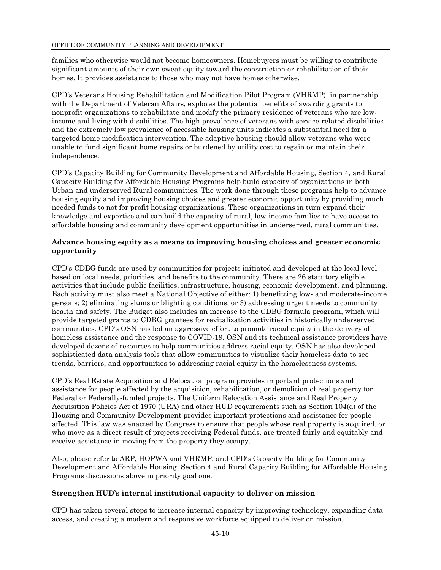families who otherwise would not become homeowners. Homebuyers must be willing to contribute significant amounts of their own sweat equity toward the construction or rehabilitation of their homes. It provides assistance to those who may not have homes otherwise.

CPD's Veterans Housing Rehabilitation and Modification Pilot Program (VHRMP), in partnership with the Department of Veteran Affairs, explores the potential benefits of awarding grants to nonprofit organizations to rehabilitate and modify the primary residence of veterans who are lowincome and living with disabilities. The high prevalence of veterans with service-related disabilities and the extremely low prevalence of accessible housing units indicates a substantial need for a targeted home modification intervention. The adaptive housing should allow veterans who were unable to fund significant home repairs or burdened by utility cost to regain or maintain their independence.

CPD's Capacity Building for Community Development and Affordable Housing, Section 4, and Rural Capacity Building for Affordable Housing Programs help build capacity of organizations in both Urban and underserved Rural communities. The work done through these programs help to advance housing equity and improving housing choices and greater economic opportunity by providing much needed funds to not for profit housing organizations. These organizations in turn expand their knowledge and expertise and can build the capacity of rural, low-income families to have access to affordable housing and community development opportunities in underserved, rural communities.

### **Advance housing equity as a means to improving housing choices and greater economic opportunity**

CPD's CDBG funds are used by communities for projects initiated and developed at the local level based on local needs, priorities, and benefits to the community. There are 26 statutory eligible activities that include public facilities, infrastructure, housing, economic development, and planning. Each activity must also meet a National Objective of either: 1) benefitting low- and moderate-income persons; 2) eliminating slums or blighting conditions; or 3) addressing urgent needs to community health and safety. The Budget also includes an increase to the CDBG formula program, which will provide targeted grants to CDBG grantees for revitalization activities in historically underserved communities. CPD's OSN has led an aggressive effort to promote racial equity in the delivery of homeless assistance and the response to COVID-19. OSN and its technical assistance providers have developed dozens of resources to help communities address racial equity. OSN has also developed sophisticated data analysis tools that allow communities to visualize their homeless data to see trends, barriers, and opportunities to addressing racial equity in the homelessness systems.

CPD's Real Estate Acquisition and Relocation program provides important protections and assistance for people affected by the acquisition, rehabilitation, or demolition of real property for Federal or Federally-funded projects. The Uniform Relocation Assistance and Real Property Acquisition Policies Act of 1970 (URA) and other HUD requirements such as Section 104(d) of the Housing and Community Development provides important protections and assistance for people affected. This law was enacted by Congress to ensure that people whose real property is acquired, or who move as a direct result of projects receiving Federal funds, are treated fairly and equitably and receive assistance in moving from the property they occupy.

Also, please refer to ARP, HOPWA and VHRMP, and CPD's Capacity Building for Community Development and Affordable Housing, Section 4 and Rural Capacity Building for Affordable Housing Programs discussions above in priority goal one.

### **Strengthen HUD's internal institutional capacity to deliver on mission**

CPD has taken several steps to increase internal capacity by improving technology, expanding data access, and creating a modern and responsive workforce equipped to deliver on mission.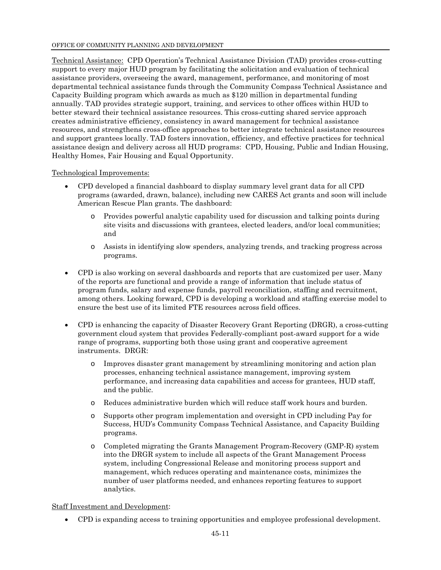Technical Assistance: CPD Operation's Technical Assistance Division (TAD) provides cross-cutting support to every major HUD program by facilitating the solicitation and evaluation of technical assistance providers, overseeing the award, management, performance, and monitoring of most departmental technical assistance funds through the Community Compass Technical Assistance and Capacity Building program which awards as much as \$120 million in departmental funding annually. TAD provides strategic support, training, and services to other offices within HUD to better steward their technical assistance resources. This cross-cutting shared service approach creates administrative efficiency, consistency in award management for technical assistance resources, and strengthens cross-office approaches to better integrate technical assistance resources and support grantees locally. TAD fosters innovation, efficiency, and effective practices for technical assistance design and delivery across all HUD programs: CPD, Housing, Public and Indian Housing, Healthy Homes, Fair Housing and Equal Opportunity.

### Technological Improvements:

- CPD developed a financial dashboard to display summary level grant data for all CPD programs (awarded, drawn, balance), including new CARES Act grants and soon will include American Rescue Plan grants. The dashboard:
	- o Provides powerful analytic capability used for discussion and talking points during site visits and discussions with grantees, elected leaders, and/or local communities; and
	- o Assists in identifying slow spenders, analyzing trends, and tracking progress across programs.
- CPD is also working on several dashboards and reports that are customized per user. Many of the reports are functional and provide a range of information that include status of program funds, salary and expense funds, payroll reconciliation, staffing and recruitment, among others. Looking forward, CPD is developing a workload and staffing exercise model to ensure the best use of its limited FTE resources across field offices.
- CPD is enhancing the capacity of Disaster Recovery Grant Reporting (DRGR), a cross-cutting government cloud system that provides Federally-compliant post-award support for a wide range of programs, supporting both those using grant and cooperative agreement instruments. DRGR:
	- o Improves disaster grant management by streamlining monitoring and action plan processes, enhancing technical assistance management, improving system performance, and increasing data capabilities and access for grantees, HUD staff, and the public.
	- o Reduces administrative burden which will reduce staff work hours and burden.
	- o Supports other program implementation and oversight in CPD including Pay for Success, HUD's Community Compass Technical Assistance, and Capacity Building programs.
	- o Completed migrating the Grants Management Program-Recovery (GMP-R) system into the DRGR system to include all aspects of the Grant Management Process system, including Congressional Release and monitoring process support and management, which reduces operating and maintenance costs, minimizes the number of user platforms needed, and enhances reporting features to support analytics.

### Staff Investment and Development:

CPD is expanding access to training opportunities and employee professional development.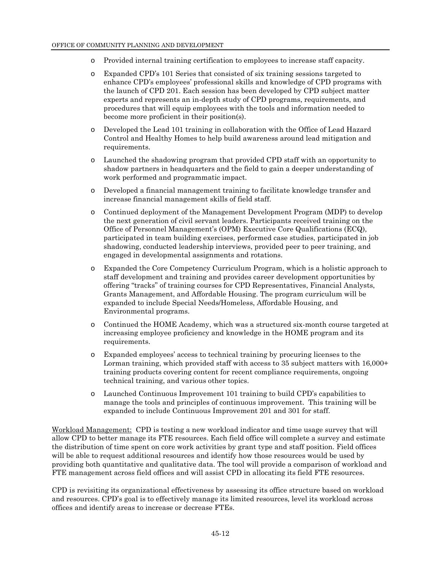- o Provided internal training certification to employees to increase staff capacity.
- o Expanded CPD's 101 Series that consisted of six training sessions targeted to enhance CPD's employees' professional skills and knowledge of CPD programs with the launch of CPD 201. Each session has been developed by CPD subject matter experts and represents an in-depth study of CPD programs, requirements, and procedures that will equip employees with the tools and information needed to become more proficient in their position(s).
- o Developed the Lead 101 training in collaboration with the Office of Lead Hazard Control and Healthy Homes to help build awareness around lead mitigation and requirements.
- o Launched the shadowing program that provided CPD staff with an opportunity to shadow partners in headquarters and the field to gain a deeper understanding of work performed and programmatic impact.
- o Developed a financial management training to facilitate knowledge transfer and increase financial management skills of field staff.
- o Continued deployment of the Management Development Program (MDP) to develop the next generation of civil servant leaders. Participants received training on the Office of Personnel Management's (OPM) Executive Core Qualifications (ECQ), participated in team building exercises, performed case studies, participated in job shadowing, conducted leadership interviews, provided peer to peer training, and engaged in developmental assignments and rotations.
- o Expanded the Core Competency Curriculum Program, which is a holistic approach to staff development and training and provides career development opportunities by offering "tracks" of training courses for CPD Representatives, Financial Analysts, Grants Management, and Affordable Housing. The program curriculum will be expanded to include Special Needs/Homeless, Affordable Housing, and Environmental programs.
- o Continued the HOME Academy, which was a structured six-month course targeted at increasing employee proficiency and knowledge in the HOME program and its requirements.
- o Expanded employees' access to technical training by procuring licenses to the Lorman training, which provided staff with access to 35 subject matters with 16,000+ training products covering content for recent compliance requirements, ongoing technical training, and various other topics.
- o Launched Continuous Improvement 101 training to build CPD's capabilities to manage the tools and principles of continuous improvement. This training will be expanded to include Continuous Improvement 201 and 301 for staff.

Workload Management: CPD is testing a new workload indicator and time usage survey that will allow CPD to better manage its FTE resources. Each field office will complete a survey and estimate the distribution of time spent on core work activities by grant type and staff position. Field offices will be able to request additional resources and identify how those resources would be used by providing both quantitative and qualitative data. The tool will provide a comparison of workload and FTE management across field offices and will assist CPD in allocating its field FTE resources.

CPD is revisiting its organizational effectiveness by assessing its office structure based on workload and resources. CPD's goal is to effectively manage its limited resources, level its workload across offices and identify areas to increase or decrease FTEs.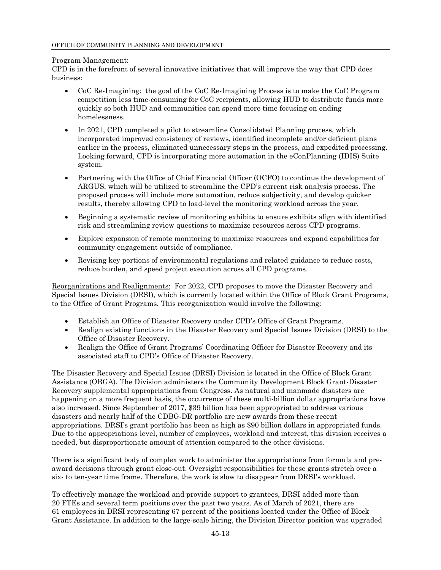### Program Management:

CPD is in the forefront of several innovative initiatives that will improve the way that CPD does business:

- CoC Re-Imagining: the goal of the CoC Re-Imagining Process is to make the CoC Program competition less time-consuming for CoC recipients, allowing HUD to distribute funds more quickly so both HUD and communities can spend more time focusing on ending homelessness.
- In 2021, CPD completed a pilot to streamline Consolidated Planning process, which incorporated improved consistency of reviews, identified incomplete and/or deficient plans earlier in the process, eliminated unnecessary steps in the process, and expedited processing. Looking forward, CPD is incorporating more automation in the eConPlanning (IDIS) Suite system.
- Partnering with the Office of Chief Financial Officer (OCFO) to continue the development of ARGUS, which will be utilized to streamline the CPD's current risk analysis process. The proposed process will include more automation, reduce subjectivity, and develop quicker results, thereby allowing CPD to load-level the monitoring workload across the year.
- Beginning a systematic review of monitoring exhibits to ensure exhibits align with identified risk and streamlining review questions to maximize resources across CPD programs.
- Explore expansion of remote monitoring to maximize resources and expand capabilities for community engagement outside of compliance.
- Revising key portions of environmental regulations and related guidance to reduce costs, reduce burden, and speed project execution across all CPD programs.

Reorganizations and Realignments: For 2022, CPD proposes to move the Disaster Recovery and Special Issues Division (DRSI), which is currently located within the Office of Block Grant Programs, to the Office of Grant Programs. This reorganization would involve the following:

- Establish an Office of Disaster Recovery under CPD's Office of Grant Programs.
- Realign existing functions in the Disaster Recovery and Special Issues Division (DRSI) to the Office of Disaster Recovery.
- Realign the Office of Grant Programs' Coordinating Officer for Disaster Recovery and its associated staff to CPD's Office of Disaster Recovery.

The Disaster Recovery and Special Issues (DRSI) Division is located in the Office of Block Grant Assistance (OBGA). The Division administers the Community Development Block Grant-Disaster Recovery supplemental appropriations from Congress. As natural and manmade disasters are happening on a more frequent basis, the occurrence of these multi-billion dollar appropriations have also increased. Since September of 2017, \$39 billion has been appropriated to address various disasters and nearly half of the CDBG-DR portfolio are new awards from these recent appropriations. DRSI's grant portfolio has been as high as \$90 billion dollars in appropriated funds. Due to the appropriations level, number of employees, workload and interest, this division receives a needed, but disproportionate amount of attention compared to the other divisions.

There is a significant body of complex work to administer the appropriations from formula and preaward decisions through grant close-out. Oversight responsibilities for these grants stretch over a six- to ten-year time frame. Therefore, the work is slow to disappear from DRSI's workload.

To effectively manage the workload and provide support to grantees, DRSI added more than 20 FTEs and several term positions over the past two years. As of March of 2021, there are 61 employees in DRSI representing 67 percent of the positions located under the Office of Block Grant Assistance. In addition to the large-scale hiring, the Division Director position was upgraded